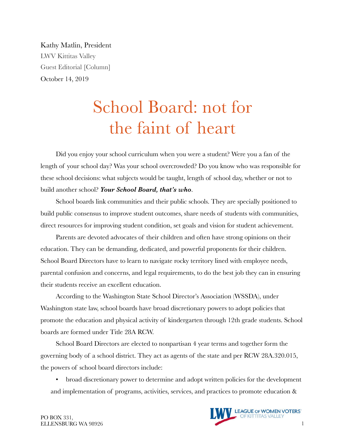Kathy Matlin, President LWV Kittitas Valley Guest Editorial [Column] October 14, 2019

## School Board: not for the faint of heart

Did you enjoy your school curriculum when you were a student? Were you a fan of the length of your school day? Was your school overcrowded? Do you know who was responsible for these school decisions: what subjects would be taught, length of school day, whether or not to build another school? *Your School Board, that's who*.

School boards link communities and their public schools. They are specially positioned to build public consensus to improve student outcomes, share needs of students with communities, direct resources for improving student condition, set goals and vision for student achievement.

Parents are devoted advocates of their children and often have strong opinions on their education. They can be demanding, dedicated, and powerful proponents for their children. School Board Directors have to learn to navigate rocky territory lined with employee needs, parental confusion and concerns, and legal requirements, to do the best job they can in ensuring their students receive an excellent education.

According to the Washington State School Director's Association (WSSDA), under Washington state law, school boards have broad discretionary powers to adopt policies that promote the education and physical activity of kindergarten through 12th grade students. School boards are formed under Title 28A RCW.

School Board Directors are elected to nonpartisan 4 year terms and together form the governing body of a school district. They act as agents of the state and per RCW 28A.320.015, the powers of school board directors include:

• broad discretionary power to determine and adopt written policies for the development and implementation of programs, activities, services, and practices to promote education &

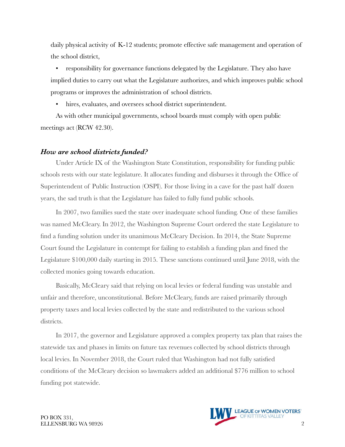daily physical activity of K-12 students; promote effective safe management and operation of the school district,

• responsibility for governance functions delegated by the Legislature. They also have implied duties to carry out what the Legislature authorizes, and which improves public school programs or improves the administration of school districts.

• hires, evaluates, and oversees school district superintendent.

As with other municipal governments, school boards must comply with open public meetings act (RCW 42.30).

## *How are school districts funded?*

Under Article IX of the Washington State Constitution, responsibility for funding public schools rests with our state legislature. It allocates funding and disburses it through the Office of Superintendent of Public Instruction (OSPI). For those living in a cave for the past half dozen years, the sad truth is that the Legislature has failed to fully fund public schools.

In 2007, two families sued the state over inadequate school funding. One of these families was named McCleary. In 2012, the Washington Supreme Court ordered the state Legislature to find a funding solution under its unanimous McCleary Decision. In 2014, the State Supreme Court found the Legislature in contempt for failing to establish a funding plan and fined the Legislature \$100,000 daily starting in 2015. These sanctions continued until June 2018, with the collected monies going towards education.

Basically, McCleary said that relying on local levies or federal funding was unstable and unfair and therefore, unconstitutional. Before McCleary, funds are raised primarily through property taxes and local levies collected by the state and redistributed to the various school districts.

In 2017, the governor and Legislature approved a complex property tax plan that raises the statewide tax and phases in limits on future tax revenues collected by school districts through local levies. In November 2018, the Court ruled that Washington had not fully satisfied conditions of the McCleary decision so lawmakers added an additional \$776 million to school funding pot statewide.